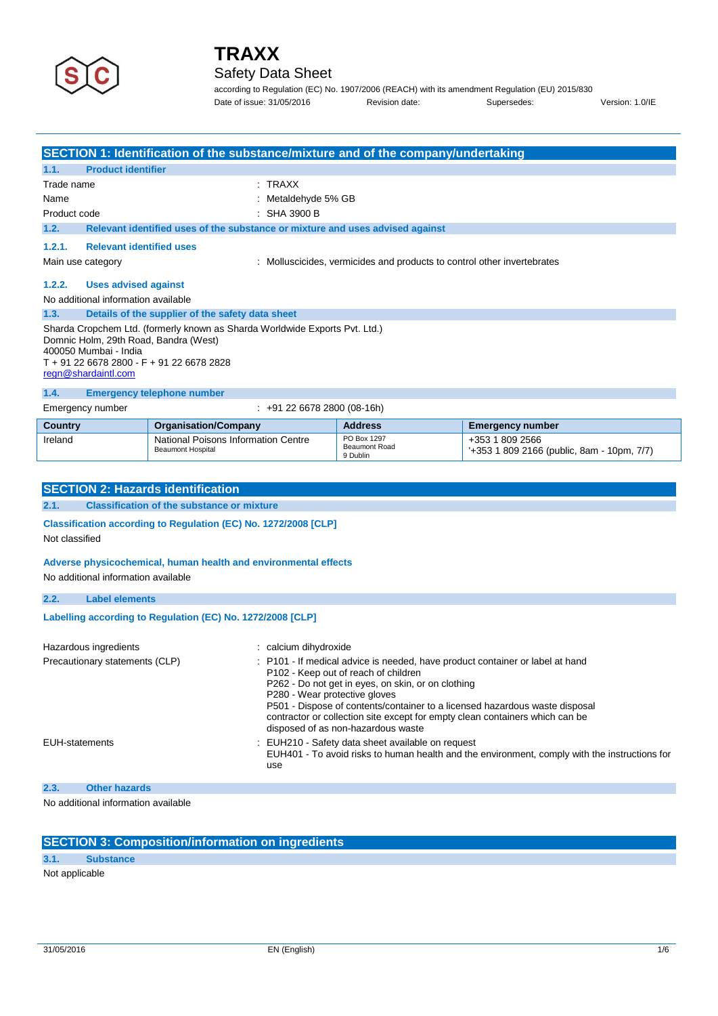

## Safety Data Sheet

according to Regulation (EC) No. 1907/2006 (REACH) with its amendment Regulation (EU) 2015/830 Date of issue: 31/05/2016 **Revision date:** Supersedes: Version: 1.0/IE

|                                          |                                                                                                                                                                                                                   | <b>SECTION 1: Identification of the substance/mixture and of the company/undertaking</b> |                                                 |                                                                       |  |  |  |
|------------------------------------------|-------------------------------------------------------------------------------------------------------------------------------------------------------------------------------------------------------------------|------------------------------------------------------------------------------------------|-------------------------------------------------|-----------------------------------------------------------------------|--|--|--|
| 1.1.                                     | <b>Product identifier</b>                                                                                                                                                                                         |                                                                                          |                                                 |                                                                       |  |  |  |
| Trade name                               |                                                                                                                                                                                                                   | $:$ TRAXX                                                                                |                                                 |                                                                       |  |  |  |
| Name                                     |                                                                                                                                                                                                                   |                                                                                          | Metaldehyde 5% GB                               |                                                                       |  |  |  |
| Product code                             |                                                                                                                                                                                                                   | SHA 3900 B                                                                               |                                                 |                                                                       |  |  |  |
| 1.2.                                     |                                                                                                                                                                                                                   | Relevant identified uses of the substance or mixture and uses advised against            |                                                 |                                                                       |  |  |  |
| 1.2.1.                                   | <b>Relevant identified uses</b>                                                                                                                                                                                   |                                                                                          |                                                 |                                                                       |  |  |  |
|                                          | Main use category                                                                                                                                                                                                 |                                                                                          |                                                 | Molluscicides, vermicides and products to control other invertebrates |  |  |  |
| 1.2.2.                                   | <b>Uses advised against</b>                                                                                                                                                                                       |                                                                                          |                                                 |                                                                       |  |  |  |
|                                          | No additional information available                                                                                                                                                                               |                                                                                          |                                                 |                                                                       |  |  |  |
| 1.3.                                     |                                                                                                                                                                                                                   | Details of the supplier of the safety data sheet                                         |                                                 |                                                                       |  |  |  |
|                                          | Sharda Cropchem Ltd. (formerly known as Sharda Worldwide Exports Pvt. Ltd.)<br>Domnic Holm, 29th Road, Bandra (West)<br>400050 Mumbai - India<br>T + 91 22 6678 2800 - F + 91 22 6678 2828<br>regn@shardaintl.com |                                                                                          |                                                 |                                                                       |  |  |  |
| 1.4.                                     |                                                                                                                                                                                                                   | <b>Emergency telephone number</b>                                                        |                                                 |                                                                       |  |  |  |
|                                          | Emergency number                                                                                                                                                                                                  | $\div$ +91 22 6678 2800 (08-16h)                                                         |                                                 |                                                                       |  |  |  |
| Country                                  |                                                                                                                                                                                                                   | <b>Organisation/Company</b>                                                              | <b>Address</b>                                  | <b>Emergency number</b>                                               |  |  |  |
| Ireland                                  |                                                                                                                                                                                                                   | National Poisons Information Centre<br><b>Beaumont Hospital</b>                          | PO Box 1297<br><b>Beaumont Road</b><br>9 Dublin | +353 1 809 2566<br>'+353 1 809 2166 (public, 8am - 10pm, 7/7)         |  |  |  |
|                                          |                                                                                                                                                                                                                   |                                                                                          |                                                 |                                                                       |  |  |  |
| <b>SECTION 2: Hazards identification</b> |                                                                                                                                                                                                                   |                                                                                          |                                                 |                                                                       |  |  |  |
| 2.1.                                     | <b>Classification of the substance or mixture</b>                                                                                                                                                                 |                                                                                          |                                                 |                                                                       |  |  |  |
|                                          | Classification according to Regulation (EC) No. 1272/2008 [CLP]                                                                                                                                                   |                                                                                          |                                                 |                                                                       |  |  |  |
|                                          | Not classified                                                                                                                                                                                                    |                                                                                          |                                                 |                                                                       |  |  |  |

### **Adverse physicochemical, human health and environmental effects**

No additional information available

| 2.2.                                                       | <b>Label elements</b>          |                                                                                                                                                                                                                                                                                                                                                                                                                   |
|------------------------------------------------------------|--------------------------------|-------------------------------------------------------------------------------------------------------------------------------------------------------------------------------------------------------------------------------------------------------------------------------------------------------------------------------------------------------------------------------------------------------------------|
| Labelling according to Regulation (EC) No. 1272/2008 [CLP] |                                |                                                                                                                                                                                                                                                                                                                                                                                                                   |
|                                                            | Hazardous ingredients          | calcium dihydroxide:                                                                                                                                                                                                                                                                                                                                                                                              |
|                                                            | Precautionary statements (CLP) | : P101 - If medical advice is needed, have product container or label at hand<br>P102 - Keep out of reach of children<br>P262 - Do not get in eyes, on skin, or on clothing<br>P280 - Wear protective gloves<br>P501 - Dispose of contents/container to a licensed hazardous waste disposal<br>contractor or collection site except for empty clean containers which can be<br>disposed of as non-hazardous waste |
|                                                            | <b>EUH-statements</b>          | EUH210 - Safety data sheet available on request<br>EUH401 - To avoid risks to human health and the environment, comply with the instructions for<br>use                                                                                                                                                                                                                                                           |

### **2.3. Other hazards**

No additional information available

## **SECTION 3: Composition/information on ingredients**

**3.1. Substance** Not applicable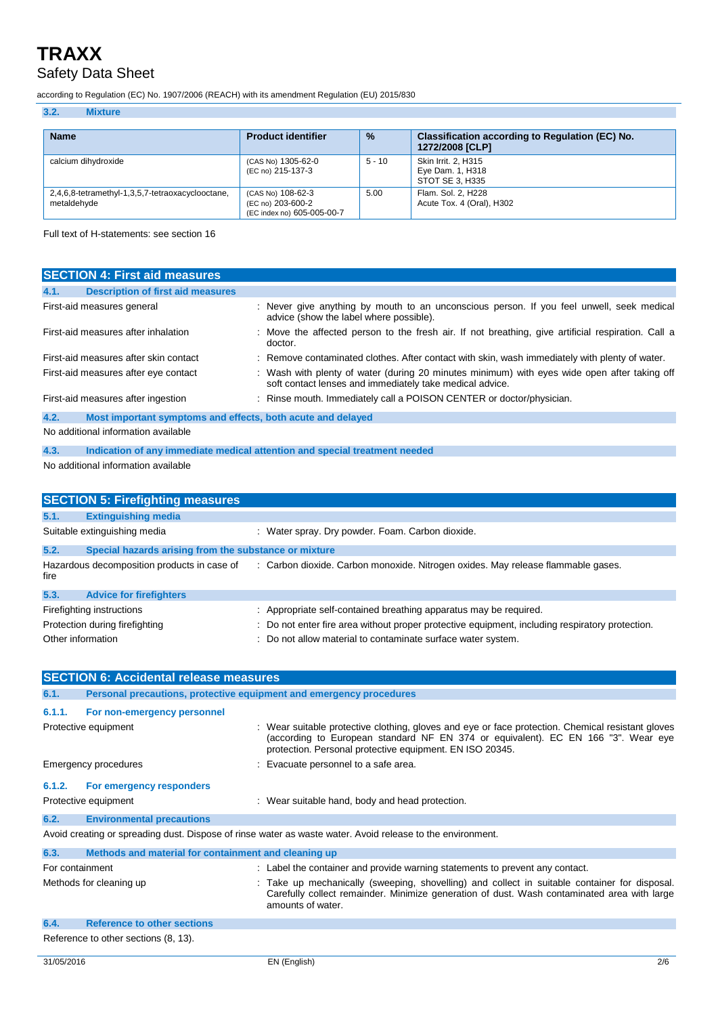## Safety Data Sheet

according to Regulation (EC) No. 1907/2006 (REACH) with its amendment Regulation (EU) 2015/830

| 3.2.<br><b>Mixture</b>                                          |                                                                      |               |                                                                    |
|-----------------------------------------------------------------|----------------------------------------------------------------------|---------------|--------------------------------------------------------------------|
| <b>Name</b>                                                     | <b>Product identifier</b>                                            | $\frac{9}{6}$ | Classification according to Regulation (EC) No.<br>1272/2008 [CLP] |
| calcium dihydroxide                                             | (CAS No) 1305-62-0<br>(EC no) 215-137-3                              | $5 - 10$      | Skin Irrit. 2. H315<br>Eye Dam. 1, H318<br>STOT SE 3. H335         |
| 2,4,6,8-tetramethyl-1,3,5,7-tetraoxacyclooctane,<br>metaldehyde | (CAS No) 108-62-3<br>(EC no) 203-600-2<br>(EC index no) 605-005-00-7 | 5.00          | Flam. Sol. 2, H228<br>Acute Tox. 4 (Oral), H302                    |

Full text of H-statements: see section 16

| <b>SECTION 4: First aid measures</b>                                               |                                                                                                                                                          |  |
|------------------------------------------------------------------------------------|----------------------------------------------------------------------------------------------------------------------------------------------------------|--|
| <b>Description of first aid measures</b><br>4.1.                                   |                                                                                                                                                          |  |
| First-aid measures general                                                         | : Never give anything by mouth to an unconscious person. If you feel unwell, seek medical<br>advice (show the label where possible).                     |  |
| First-aid measures after inhalation                                                | : Move the affected person to the fresh air. If not breathing, give artificial respiration. Call a<br>doctor.                                            |  |
| First-aid measures after skin contact                                              | : Remove contaminated clothes. After contact with skin, wash immediately with plenty of water.                                                           |  |
| First-aid measures after eye contact                                               | : Wash with plenty of water (during 20 minutes minimum) with eyes wide open after taking off<br>soft contact lenses and immediately take medical advice. |  |
| First-aid measures after ingestion                                                 | Rinse mouth. Immediately call a POISON CENTER or doctor/physician.                                                                                       |  |
| 4.2.<br>Most important symptoms and effects, both acute and delayed                |                                                                                                                                                          |  |
| No additional information available                                                |                                                                                                                                                          |  |
| 4.3.<br>Indication of any immediate medical attention and special treatment needed |                                                                                                                                                          |  |
| No additional information available                                                |                                                                                                                                                          |  |
| <b>SECTION 5: Firefighting measures</b>                                            |                                                                                                                                                          |  |
| 51<br><b>Extinguishing media</b>                                                   |                                                                                                                                                          |  |

| 5.1.                           | <b>Extinguishing media</b>                            |                                                                                                 |
|--------------------------------|-------------------------------------------------------|-------------------------------------------------------------------------------------------------|
| Suitable extinguishing media   |                                                       | : Water spray. Dry powder. Foam. Carbon dioxide.                                                |
| 5.2.                           | Special hazards arising from the substance or mixture |                                                                                                 |
| fire                           | Hazardous decomposition products in case of           | : Carbon dioxide. Carbon monoxide. Nitrogen oxides. May release flammable gases.                |
| 5.3.                           | <b>Advice for firefighters</b>                        |                                                                                                 |
|                                | Firefighting instructions                             | : Appropriate self-contained breathing apparatus may be required.                               |
| Protection during firefighting |                                                       | : Do not enter fire area without proper protective equipment, including respiratory protection. |
| Other information              |                                                       | : Do not allow material to contaminate surface water system.                                    |

| <b>SECTION 6: Accidental release measures</b>                                                              |                                                                     |  |                                                                                                                                                                                                                                                    |
|------------------------------------------------------------------------------------------------------------|---------------------------------------------------------------------|--|----------------------------------------------------------------------------------------------------------------------------------------------------------------------------------------------------------------------------------------------------|
| 6.1.                                                                                                       | Personal precautions, protective equipment and emergency procedures |  |                                                                                                                                                                                                                                                    |
| 6.1.1.                                                                                                     | For non-emergency personnel                                         |  |                                                                                                                                                                                                                                                    |
|                                                                                                            | Protective equipment                                                |  | : Wear suitable protective clothing, gloves and eye or face protection. Chemical resistant gloves<br>(according to European standard NF EN 374 or equivalent). EC EN 166 "3". Wear eye<br>protection. Personal protective equipment. EN ISO 20345. |
|                                                                                                            | Emergency procedures                                                |  | : Evacuate personnel to a safe area.                                                                                                                                                                                                               |
| 6.1.2.                                                                                                     | For emergency responders                                            |  |                                                                                                                                                                                                                                                    |
|                                                                                                            | Protective equipment                                                |  | : Wear suitable hand, body and head protection.                                                                                                                                                                                                    |
| 6.2.                                                                                                       | <b>Environmental precautions</b>                                    |  |                                                                                                                                                                                                                                                    |
| Avoid creating or spreading dust. Dispose of rinse water as waste water. Avoid release to the environment. |                                                                     |  |                                                                                                                                                                                                                                                    |
| 6.3.                                                                                                       | Methods and material for containment and cleaning up                |  |                                                                                                                                                                                                                                                    |
| For containment                                                                                            |                                                                     |  | : Label the container and provide warning statements to prevent any contact.                                                                                                                                                                       |
|                                                                                                            | Methods for cleaning up                                             |  | Take up mechanically (sweeping, shovelling) and collect in suitable container for disposal.<br>Carefully collect remainder. Minimize generation of dust. Wash contaminated area with large<br>amounts of water.                                    |
| 6.4.                                                                                                       | <b>Reference to other sections</b>                                  |  |                                                                                                                                                                                                                                                    |
| Reference to other sections (8, 13).                                                                       |                                                                     |  |                                                                                                                                                                                                                                                    |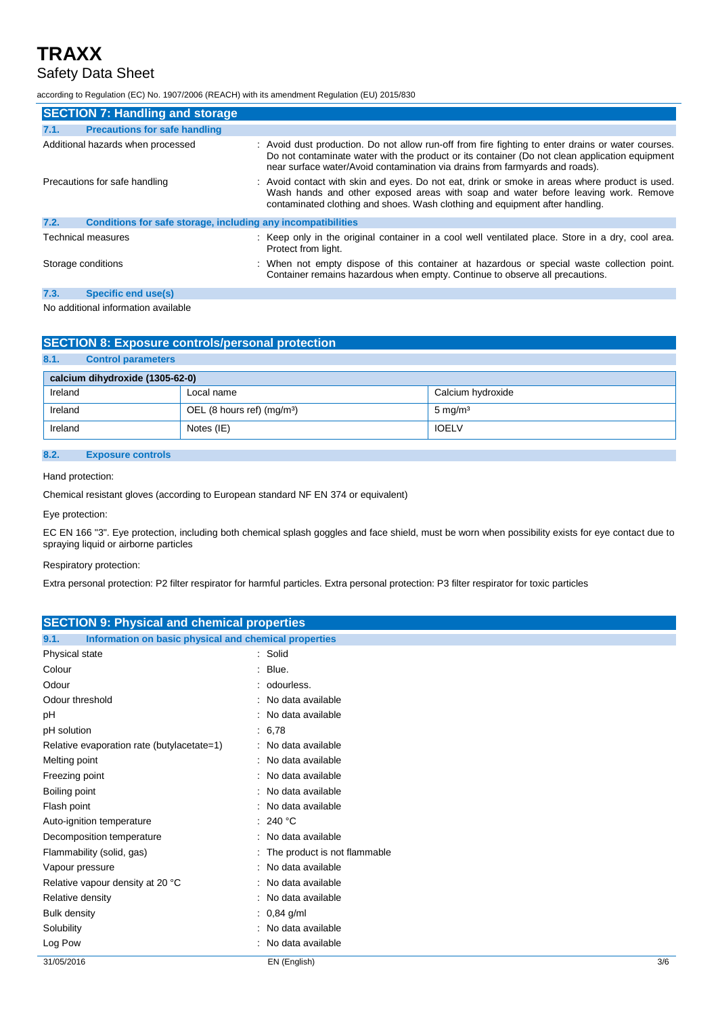## Safety Data Sheet

according to Regulation (EC) No. 1907/2006 (REACH) with its amendment Regulation (EU) 2015/830

| <b>SECTION 7: Handling and storage</b>                               |                                                                                                                                                                                                                                                                                      |  |  |
|----------------------------------------------------------------------|--------------------------------------------------------------------------------------------------------------------------------------------------------------------------------------------------------------------------------------------------------------------------------------|--|--|
| <b>Precautions for safe handling</b><br>7.1.                         |                                                                                                                                                                                                                                                                                      |  |  |
| Additional hazards when processed                                    | : Avoid dust production. Do not allow run-off from fire fighting to enter drains or water courses.<br>Do not contaminate water with the product or its container (Do not clean application equipment<br>near surface water/Avoid contamination via drains from farmyards and roads). |  |  |
| Precautions for safe handling                                        | : Avoid contact with skin and eyes. Do not eat, drink or smoke in areas where product is used.<br>Wash hands and other exposed areas with soap and water before leaving work. Remove<br>contaminated clothing and shoes. Wash clothing and equipment after handling.                 |  |  |
| Conditions for safe storage, including any incompatibilities<br>7.2. |                                                                                                                                                                                                                                                                                      |  |  |
| Technical measures                                                   | : Keep only in the original container in a cool well ventilated place. Store in a dry, cool area.<br>Protect from light.                                                                                                                                                             |  |  |
| Storage conditions                                                   | : When not empty dispose of this container at hazardous or special waste collection point.<br>Container remains hazardous when empty. Continue to observe all precautions.                                                                                                           |  |  |
| 7.3.<br><b>Specific end use(s)</b>                                   |                                                                                                                                                                                                                                                                                      |  |  |
|                                                                      |                                                                                                                                                                                                                                                                                      |  |  |

No additional information available

### **SECTION 8: Exposure controls/personal protection**

### **8.1. Control parameters**

| calcium dihydroxide (1305-62-0) |                             |                    |  |  |
|---------------------------------|-----------------------------|--------------------|--|--|
| Ireland                         | Local name                  | Calcium hydroxide  |  |  |
| Ireland                         | OEL (8 hours ref) $(mg/m3)$ | $5 \text{ mg/m}^3$ |  |  |
| Ireland                         | Notes (IE)                  | <b>IOELV</b>       |  |  |
|                                 |                             |                    |  |  |

### **8.2. Exposure controls**

Hand protection:

Chemical resistant gloves (according to European standard NF EN 374 or equivalent)

Eye protection:

EC EN 166 "3". Eye protection, including both chemical splash goggles and face shield, must be worn when possibility exists for eye contact due to spraying liquid or airborne particles

#### Respiratory protection:

Extra personal protection: P2 filter respirator for harmful particles. Extra personal protection: P3 filter respirator for toxic particles

| <b>SECTION 9: Physical and chemical properties</b>            |                                |  |
|---------------------------------------------------------------|--------------------------------|--|
|                                                               |                                |  |
| 9.1.<br>Information on basic physical and chemical properties |                                |  |
| Physical state                                                | : Solid                        |  |
| Colour                                                        | $:$ Blue.                      |  |
| Odour                                                         | : odourless.                   |  |
| Odour threshold                                               | : No data available            |  |
| pH                                                            | : No data available            |  |
| pH solution                                                   | : 6.78                         |  |
| Relative evaporation rate (butylacetate=1)                    | : No data available            |  |
| Melting point                                                 | : No data available            |  |
| Freezing point                                                | No data available              |  |
| Boiling point                                                 | : No data available            |  |
| Flash point                                                   | : No data available            |  |
| Auto-ignition temperature                                     | : 240 °C                       |  |
| Decomposition temperature                                     | : No data available            |  |
| Flammability (solid, gas)                                     | : The product is not flammable |  |
| Vapour pressure                                               | No data available              |  |
| Relative vapour density at 20 °C                              | No data available              |  |
| Relative density                                              | No data available              |  |
| <b>Bulk density</b>                                           | : $0,84$ g/ml                  |  |
| Solubility                                                    | : No data available            |  |
| Log Pow                                                       | No data available              |  |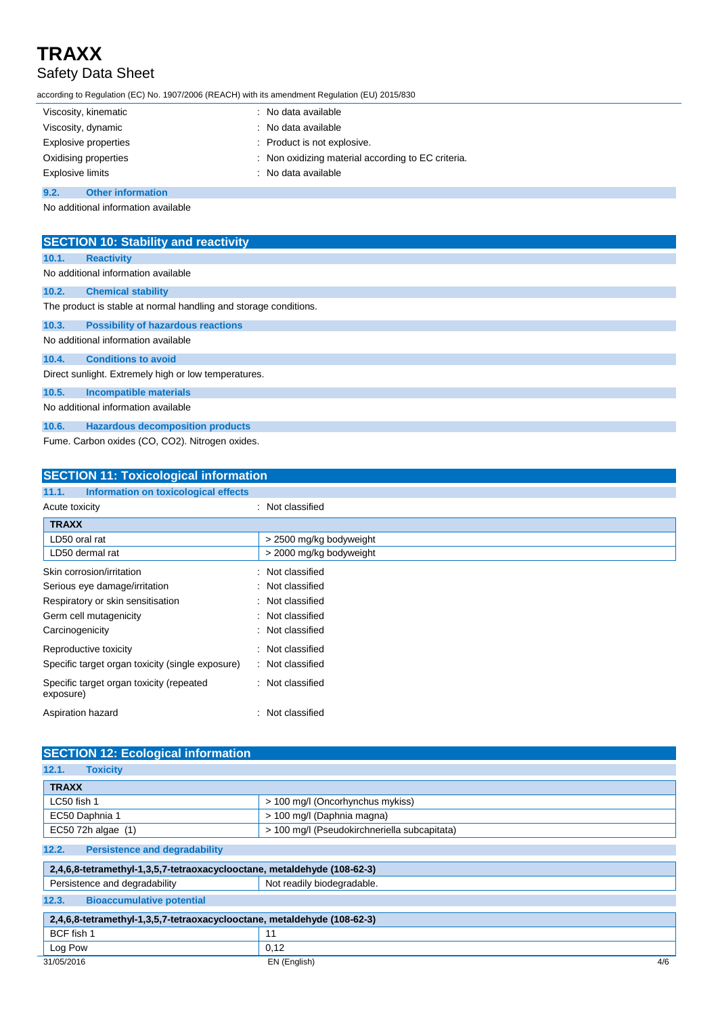## **TRAXX** Safety Data Sheet

according to Regulation (EC) No. 1907/2006 (REACH) with its amendment Regulation (EU) 2015/830

| Viscosity, kinematic             | : No data available                                |
|----------------------------------|----------------------------------------------------|
| Viscosity, dynamic               | : No data available                                |
| Explosive properties             | : Product is not explosive.                        |
| Oxidising properties             | : Non oxidizing material according to EC criteria. |
| <b>Explosive limits</b>          | : No data available                                |
| 9.2.<br><b>Other information</b> |                                                    |

No additional information available

| <b>SECTION 10: Stability and reactivity</b>                      |  |  |  |  |
|------------------------------------------------------------------|--|--|--|--|
| <b>Reactivity</b><br>10.1.                                       |  |  |  |  |
| No additional information available                              |  |  |  |  |
| 10.2.<br><b>Chemical stability</b>                               |  |  |  |  |
| The product is stable at normal handling and storage conditions. |  |  |  |  |
| <b>Possibility of hazardous reactions</b><br>10.3.               |  |  |  |  |
| No additional information available                              |  |  |  |  |
| <b>Conditions to avoid</b><br>10.4.                              |  |  |  |  |
| Direct sunlight. Extremely high or low temperatures.             |  |  |  |  |
| <b>Incompatible materials</b><br>10.5.                           |  |  |  |  |
| No additional information available                              |  |  |  |  |
| <b>Hazardous decomposition products</b><br>10.6.                 |  |  |  |  |
| Fume. Carbon oxides (CO, CO2). Nitrogen oxides.                  |  |  |  |  |

**SECTION 11: Toxicological information 11.1. Information on toxicological effects** Acute toxicity **in the case of the contract of the contract of the contract of the contract of the contract of the contract of the contract of the contract of the contract of the contract of the contract of the contract of TRAXX** LD50 oral rat  $\vert$  > 2500 mg/kg bodyweight LD50 dermal rat  $\vert$  > 2000 mg/kg bodyweight Skin corrosion/irritation : Not classified Serious eye damage/irritation : Not classified Respiratory or skin sensitisation : Not classified Germ cell mutagenicity **in the case of the Contract Contract Contract Contract Contract Contract Contract Contract Contract Contract Contract Contract Contract Contract Contract Contract Contract Contract Contract Contract** Carcinogenicity **Carcinogenicity** : Not classified Reproductive toxicity **in the case of the CRS** in Not classified Specific target organ toxicity (single exposure) : Not classified Specific target organ toxicity (repeated exposure) : Not classified Aspiration hazard **in the set of the set of the set of the set of the set of the set of the set of the set of the set of the set of the set of the set of the set of the set of the set of the set of the set of the set of th** 

| <b>SECTION 12: Ecological information</b>                               |                                              |  |
|-------------------------------------------------------------------------|----------------------------------------------|--|
| 12.1.<br><b>Toxicity</b>                                                |                                              |  |
| <b>TRAXX</b>                                                            |                                              |  |
| LC50 fish 1                                                             | > 100 mg/l (Oncorhynchus mykiss)             |  |
| EC50 Daphnia 1                                                          | > 100 mg/l (Daphnia magna)                   |  |
| EC50 72h algae (1)                                                      | > 100 mg/l (Pseudokirchneriella subcapitata) |  |
| 12.2.<br><b>Persistence and degradability</b>                           |                                              |  |
| 2,4,6,8-tetramethyl-1,3,5,7-tetraoxacyclooctane, metaldehyde (108-62-3) |                                              |  |
| Persistence and degradability                                           | Not readily biodegradable.                   |  |
| <b>Bioaccumulative potential</b><br>12.3.                               |                                              |  |
| 2,4,6,8-tetramethyl-1,3,5,7-tetraoxacyclooctane, metaldehyde (108-62-3) |                                              |  |
| BCF fish 1                                                              | 11                                           |  |
| Log Pow                                                                 | 0,12                                         |  |
| 31/05/2016                                                              | 4/6<br>EN (English)                          |  |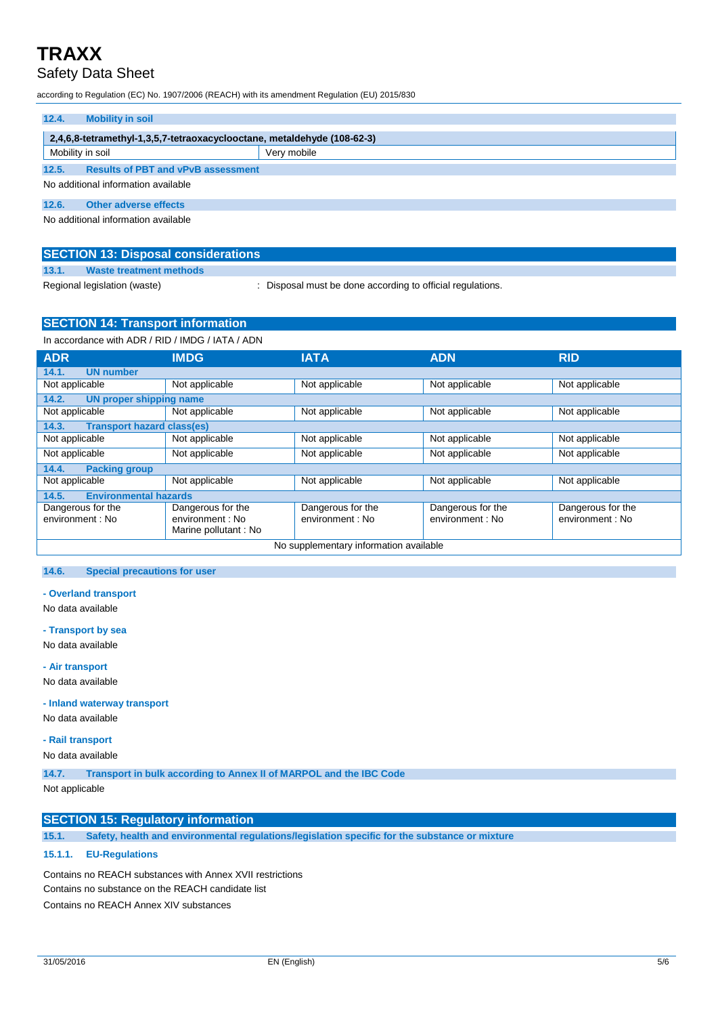## Safety Data Sheet

according to Regulation (EC) No. 1907/2006 (REACH) with its amendment Regulation (EU) 2015/830

| 12.4.<br><b>Mobility in soil</b>                                        |             |  |  |
|-------------------------------------------------------------------------|-------------|--|--|
| 2,4,6,8-tetramethyl-1,3,5,7-tetraoxacyclooctane, metaldehyde (108-62-3) |             |  |  |
| Mobility in soil                                                        | Very mobile |  |  |
| 12.5.<br><b>Results of PBT and vPvB assessment</b>                      |             |  |  |
| No additional information available                                     |             |  |  |
| 12.6.<br>Other adverse effects                                          |             |  |  |
| No additional information available                                     |             |  |  |

| <b>SECTION 13: Disposal considerations</b> |                              |                                                          |  |  |
|--------------------------------------------|------------------------------|----------------------------------------------------------|--|--|
| 13.1.                                      | Waste treatment methods      |                                                          |  |  |
|                                            | Regional legislation (waste) | Disposal must be done according to official regulations. |  |  |

## **SECTION 14: Transport information**

| In accordance with ADR / RID / IMDG / IATA / ADN |                                                               |                                       |                                       |                                       |
|--------------------------------------------------|---------------------------------------------------------------|---------------------------------------|---------------------------------------|---------------------------------------|
| <b>ADR</b>                                       | <b>IMDG</b>                                                   | <b>IATA</b>                           | <b>ADN</b>                            | <b>RID</b>                            |
| <b>UN number</b><br>14.1.                        |                                                               |                                       |                                       |                                       |
| Not applicable                                   | Not applicable                                                | Not applicable                        | Not applicable                        | Not applicable                        |
| 14.2.<br>UN proper shipping name                 |                                                               |                                       |                                       |                                       |
| Not applicable                                   | Not applicable                                                | Not applicable                        | Not applicable                        | Not applicable                        |
| <b>Transport hazard class(es)</b><br>14.3.       |                                                               |                                       |                                       |                                       |
| Not applicable                                   | Not applicable                                                | Not applicable                        | Not applicable                        | Not applicable                        |
| Not applicable                                   | Not applicable                                                | Not applicable                        | Not applicable                        | Not applicable                        |
| 14.4.<br><b>Packing group</b>                    |                                                               |                                       |                                       |                                       |
| Not applicable                                   | Not applicable                                                | Not applicable                        | Not applicable                        | Not applicable                        |
| 14.5.<br><b>Environmental hazards</b>            |                                                               |                                       |                                       |                                       |
| Dangerous for the<br>environment : No            | Dangerous for the<br>environment : No<br>Marine pollutant: No | Dangerous for the<br>environment : No | Dangerous for the<br>environment : No | Dangerous for the<br>environment : No |
| No supplementary information available           |                                                               |                                       |                                       |                                       |

#### **14.6. Special precautions for user**

**- Overland transport**

No data available

**- Transport by sea**

No data available

**- Air transport**

No data available

**- Inland waterway transport**

No data available

### **- Rail transport**

No data available

**14.7. Transport in bulk according to Annex II of MARPOL and the IBC Code**

Not applicable

### **SECTION 15: Regulatory information**

**15.1. Safety, health and environmental regulations/legislation specific for the substance or mixture**

### **15.1.1. EU-Regulations**

Contains no REACH substances with Annex XVII restrictions Contains no substance on the REACH candidate list Contains no REACH Annex XIV substances